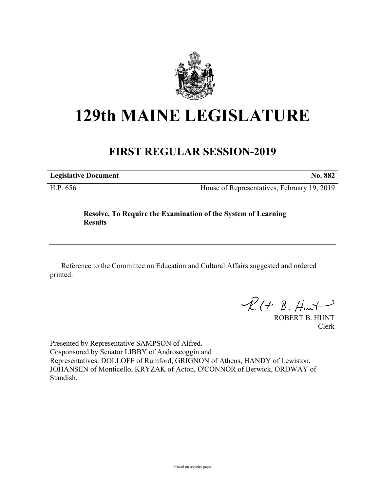

## **129th MAINE LEGISLATURE**

## **FIRST REGULAR SESSION-2019**

**Legislative Document No. 882**

H.P. 656 House of Representatives, February 19, 2019

## **Resolve, To Require the Examination of the System of Learning Results**

Reference to the Committee on Education and Cultural Affairs suggested and ordered printed.

 $R(H B. H<sub>un</sub>+)$ 

ROBERT B. HUNT Clerk

Presented by Representative SAMPSON of Alfred. Cosponsored by Senator LIBBY of Androscoggin and Representatives: DOLLOFF of Rumford, GRIGNON of Athens, HANDY of Lewiston, JOHANSEN of Monticello, KRYZAK of Acton, O'CONNOR of Berwick, ORDWAY of Standish.